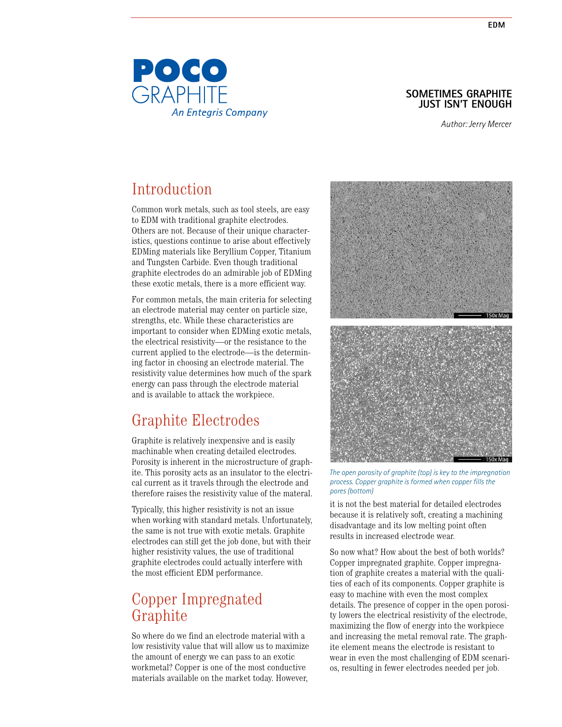### **SOMETIMES GRAPHITE JUST ISN'T ENOUGH**

*Author: Jerry Mercer*

# Introduction

Common work metals, such as tool steels, are easy to EDM with traditional graphite electrodes. Others are not. Because of their unique characteristics, questions continue to arise about effectively EDMing materials like Beryllium Copper, Titanium and Tungsten Carbide. Even though traditional graphite electrodes do an admirable job of EDMing these exotic metals, there is a more efficient way.

For common metals, the main criteria for selecting an electrode material may center on particle size, strengths, etc. While these characteristics are important to consider when EDMing exotic metals, the electrical resistivity—or the resistance to the current applied to the electrode—is the determining factor in choosing an electrode material. The resistivity value determines how much of the spark energy can pass through the electrode material and is available to attack the workpiece.

## Graphite Electrodes

Graphite is relatively inexpensive and is easily machinable when creating detailed electrodes. Porosity is inherent in the microstructure of graphite. This porosity acts as an insulator to the electrical current as it travels through the electrode and therefore raises the resistivity value of the materal.

Typically, this higher resistivity is not an issue when working with standard metals. Unfortunately, the same is not true with exotic metals. Graphite electrodes can still get the job done, but with their higher resistivity values, the use of traditional graphite electrodes could actually interfere with the most efficient EDM performance.

### Copper Impregnated Graphite

So where do we find an electrode material with a low resistivity value that will allow us to maximize the amount of energy we can pass to an exotic workmetal? Copper is one of the most conductive materials available on the market today. However,



*The open porosity of graphite (top) is key to the impregnation process. Copper graphite is formed when copper fills the pores (bottom)*

it is not the best material for detailed electrodes because it is relatively soft, creating a machining disadvantage and its low melting point often results in increased electrode wear.

So now what? How about the best of both worlds? Copper impregnated graphite. Copper impregnation of graphite creates a material with the qualities of each of its components. Copper graphite is easy to machine with even the most complex details. The presence of copper in the open porosity lowers the electrical resistivity of the electrode, maximizing the flow of energy into the workpiece and increasing the metal removal rate. The graphite element means the electrode is resistant to wear in even the most challenging of EDM scenarios, resulting in fewer electrodes needed per job.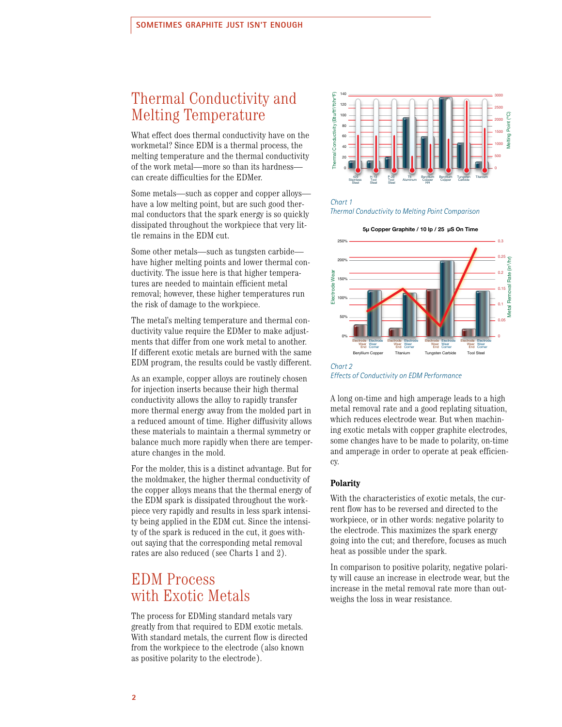## Thermal Conductivity and Melting Temperature

What effect does thermal conductivity have on the workmetal? Since EDM is a thermal process, the melting temperature and the thermal conductivity of the work metal—more so than its hardness can create difficulties for the EDMer.

Some metals—such as copper and copper alloys have a low melting point, but are such good thermal conductors that the spark energy is so quickly dissipated throughout the workpiece that very little remains in the EDM cut.

Some other metals—such as tungsten carbide have higher melting points and lower thermal conductivity. The issue here is that higher temperatures are needed to maintain efficient metal removal; however, these higher temperatures run the risk of damage to the workpiece.

The metal's melting temperature and thermal conductivity value require the EDMer to make adjustments that differ from one work metal to another. If different exotic metals are burned with the same EDM program, the results could be vastly different.

As an example, copper alloys are routinely chosen for injection inserts because their high thermal conductivity allows the alloy to rapidly transfer more thermal energy away from the molded part in a reduced amount of time. Higher diffusivity allows these materials to maintain a thermal symmetry or balance much more rapidly when there are temperature changes in the mold.

For the molder, this is a distinct advantage. But for the moldmaker, the higher thermal conductivity of the copper alloys means that the thermal energy of the EDM spark is dissipated throughout the workpiece very rapidly and results in less spark intensity being applied in the EDM cut. Since the intensity of the spark is reduced in the cut, it goes without saying that the corresponding metal removal rates are also reduced (see Charts 1 and 2).

## EDM Process with Exotic Metals

The process for EDMing standard metals vary greatly from that required to EDM exotic metals. With standard metals, the current flow is directed from the workpiece to the electrode (also known as positive polarity to the electrode).



#### *Chart 1 Thermal Conductivity to Melting Point Comparison*



*Chart 2 Effects of Conductivity on EDM Performance*

A long on-time and high amperage leads to a high metal removal rate and a good replating situation, which reduces electrode wear. But when machining exotic metals with copper graphite electrodes, some changes have to be made to polarity, on-time and amperage in order to operate at peak efficiency.

### **Polarity**

With the characteristics of exotic metals, the current flow has to be reversed and directed to the workpiece, or in other words: negative polarity to the electrode. This maximizes the spark energy going into the cut; and therefore, focuses as much heat as possible under the spark.

In comparison to positive polarity, negative polarity will cause an increase in electrode wear, but the increase in the metal removal rate more than outweighs the loss in wear resistance.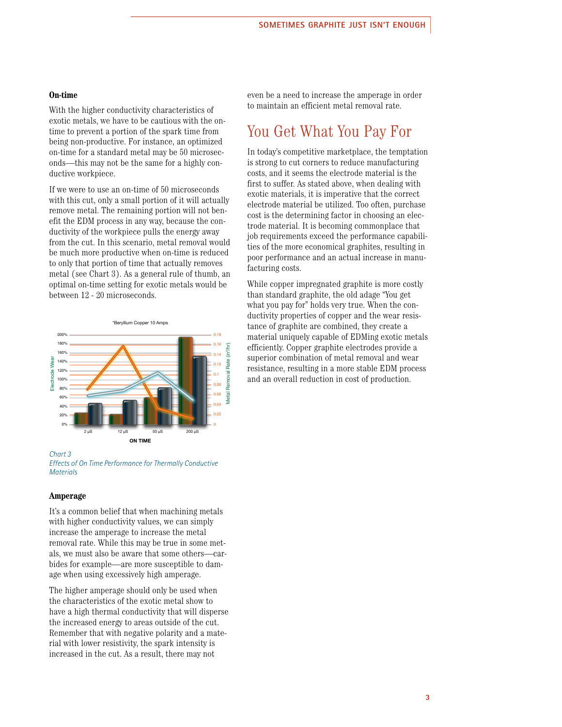### **On-time**

With the higher conductivity characteristics of exotic metals, we have to be cautious with the ontime to prevent a portion of the spark time from being non-productive. For instance, an optimized on-time for a standard metal may be 50 microseconds—this may not be the same for a highly conductive workpiece.

If we were to use an on-time of 50 microseconds with this cut, only a small portion of it will actually remove metal. The remaining portion will not benefit the EDM process in any way, because the conductivity of the workpiece pulls the energy away from the cut. In this scenario, metal removal would be much more productive when on-time is reduced to only that portion of time that actually removes metal (see Chart 3). As a general rule of thumb, an optimal on-time setting for exotic metals would be between 12 - 20 microseconds.



### *Chart 3*

*Effects of On Time Performance for Thermally Conductive Materials*

#### **Amperage**

It's a common belief that when machining metals with higher conductivity values, we can simply increase the amperage to increase the metal removal rate. While this may be true in some metals, we must also be aware that some others—carbides for example—are more susceptible to damage when using excessively high amperage.

The higher amperage should only be used when the characteristics of the exotic metal show to have a high thermal conductivity that will disperse the increased energy to areas outside of the cut. Remember that with negative polarity and a material with lower resistivity, the spark intensity is increased in the cut. As a result, there may not

even be a need to increase the amperage in order to maintain an efficient metal removal rate.

## You Get What You Pay For

In today's competitive marketplace, the temptation is strong to cut corners to reduce manufacturing costs, and it seems the electrode material is the first to suffer. As stated above, when dealing with exotic materials, it is imperative that the correct electrode material be utilized. Too often, purchase cost is the determining factor in choosing an electrode material. It is becoming commonplace that job requirements exceed the performance capabilities of the more economical graphites, resulting in poor performance and an actual increase in manufacturing costs.

While copper impregnated graphite is more costly than standard graphite, the old adage "You get what you pay for" holds very true. When the conductivity properties of copper and the wear resistance of graphite are combined, they create a material uniquely capable of EDMing exotic metals efficiently. Copper graphite electrodes provide a superior combination of metal removal and wear resistance, resulting in a more stable EDM process and an overall reduction in cost of production.